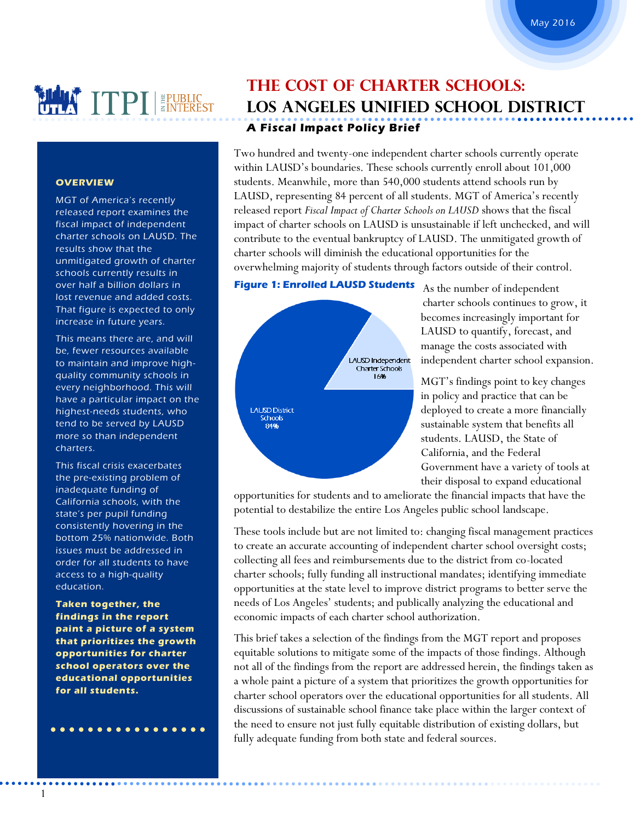# **MAIL TPI EPUBLIC**

### **OVERVIEW**

MGT of America's recently released report examines the fiscal impact of independent charter schools on LAUSD. The results show that the unmitigated growth of charter schools currently results in over half a billion dollars in lost revenue and added costs. That figure is expected to only increase in future years.

This means there are, and will be, fewer resources available to maintain and improve highquality community schools in every neighborhood. This will have a particular impact on the highest-needs students, who tend to be served by LAUSD more so than independent charters.

This fiscal crisis exacerbates the pre-existing problem of inadequate funding of California schools, with the state's per pupil funding consistently hovering in the bottom 25% nationwide. Both issues must be addressed in order for all students to have access to a high-quality education.

**Taken together, the findings in the report paint a picture of a system that prioritizes the growth opportunities for charter school operators over the educational opportunities for all students.**

 $\bullet\bullet\bullet\bullet\bullet$ 

. . . . . . . . . . . . . . .

# **The Cost of Charter Schools: Los Angeles Unified School District A Fiscal Impact Policy Brief**

Two hundred and twenty-one independent charter schools currently operate within LAUSD's boundaries. These schools currently enroll about 101,000 students. Meanwhile, more than 540,000 students attend schools run by LAUSD, representing 84 percent of all students. MGT of America's recently released report *Fiscal Impact of Charter Schools on LAUSD* shows that the fiscal impact of charter schools on LAUSD is unsustainable if left unchecked, and will contribute to the eventual bankruptcy of LAUSD. The unmitigated growth of charter schools will diminish the educational opportunities for the overwhelming majority of students through factors outside of their control.

### **Figure 1: Enrolled LAUSD Students**



As the number of independent charter schools continues to grow, it becomes increasingly important for LAUSD to quantify, forecast, and manage the costs associated with independent charter school expansion.

MGT's findings point to key changes in policy and practice that can be deployed to create a more financially sustainable system that benefits all students. LAUSD, the State of California, and the Federal Government have a variety of tools at their disposal to expand educational

opportunities for students and to ameliorate the financial impacts that have the potential to destabilize the entire Los Angeles public school landscape.

These tools include but are not limited to: changing fiscal management practices to create an accurate accounting of independent charter school oversight costs; collecting all fees and reimbursements due to the district from co-located charter schools; fully funding all instructional mandates; identifying immediate opportunities at the state level to improve district programs to better serve the needs of Los Angeles' students; and publically analyzing the educational and economic impacts of each charter school authorization.

This brief takes a selection of the findings from the MGT report and proposes equitable solutions to mitigate some of the impacts of those findings. Although not all of the findings from the report are addressed herein, the findings taken as a whole paint a picture of a system that prioritizes the growth opportunities for charter school operators over the educational opportunities for all students. All discussions of sustainable school finance take place within the larger context of the need to ensure not just fully equitable distribution of existing dollars, but fully adequate funding from both state and federal sources.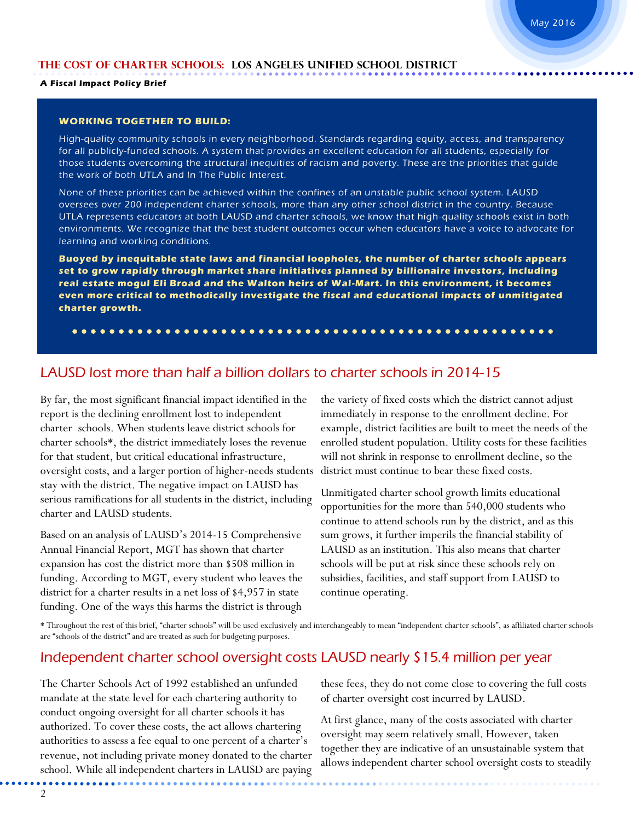#### **A Fiscal Impact Policy Brief**

### **WORKING TOGETHER TO BUILD:**

High-quality community schools in every neighborhood. Standards regarding equity, access, and transparency for all publicly-funded schools. A system that provides an excellent education for all students, especially for those students overcoming the structural inequities of racism and poverty. These are the priorities that guide the work of both UTLA and In The Public Interest.

None of these priorities can be achieved within the confines of an unstable public school system. LAUSD oversees over 200 independent charter schools, more than any other school district in the country. Because UTLA represents educators at both LAUSD and charter schools, we know that high-quality schools exist in both environments. We recognize that the best student outcomes occur when educators have a voice to advocate for learning and working conditions.

**Buoyed by inequitable state laws and financial loopholes, the number of charter schools appears set to grow rapidly through market share initiatives planned by billionaire investors, including real estate mogul Eli Broad and the Walton heirs of Wal-Mart. In this environment, it becomes even more critical to methodically investigate the fiscal and educational impacts of unmitigated charter growth.** 

### LAUSD lost more than half a billion dollars to charter schools in 2014-15

By far, the most significant financial impact identified in the report is the declining enrollment lost to independent charter schools. When students leave district schools for charter schools\*, the district immediately loses the revenue for that student, but critical educational infrastructure, oversight costs, and a larger portion of higher-needs students stay with the district. The negative impact on LAUSD has serious ramifications for all students in the district, including charter and LAUSD students.

Based on an analysis of LAUSD's 2014-15 Comprehensive Annual Financial Report, MGT has shown that charter expansion has cost the district more than \$508 million in funding. According to MGT, every student who leaves the district for a charter results in a net loss of \$4,957 in state funding. One of the ways this harms the district is through

the variety of fixed costs which the district cannot adjust immediately in response to the enrollment decline. For example, district facilities are built to meet the needs of the enrolled student population. Utility costs for these facilities will not shrink in response to enrollment decline, so the district must continue to bear these fixed costs.

Unmitigated charter school growth limits educational opportunities for the more than 540,000 students who continue to attend schools run by the district, and as this sum grows, it further imperils the financial stability of LAUSD as an institution. This also means that charter schools will be put at risk since these schools rely on subsidies, facilities, and staff support from LAUSD to continue operating.

\* Throughout the rest of this brief, "charter schools" will be used exclusively and interchangeably to mean "independent charter schools", as affiliated charter schools are "schools of the district" and are treated as such for budgeting purposes.

### Independent charter school oversight costs LAUSD nearly \$15.4 million per year

The Charter Schools Act of 1992 established an unfunded mandate at the state level for each chartering authority to conduct ongoing oversight for all charter schools it has authorized. To cover these costs, the act allows chartering authorities to assess a fee equal to one percent of a charter's revenue, not including private money donated to the charter school. While all independent charters in LAUSD are paying these fees, they do not come close to covering the full costs of charter oversight cost incurred by LAUSD.

At first glance, many of the costs associated with charter oversight may seem relatively small. However, taken together they are indicative of an unsustainable system that allows independent charter school oversight costs to steadily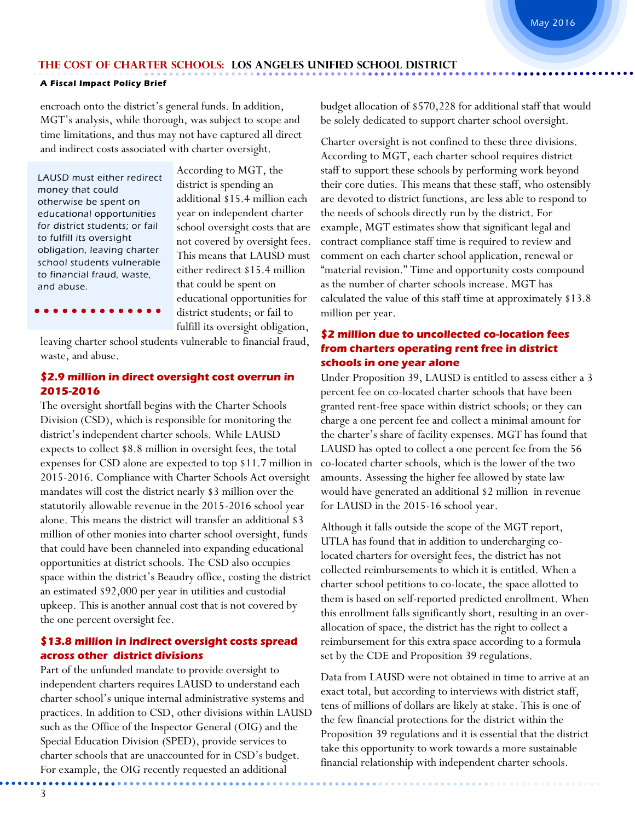### **A Fiscal Impact Policy Brief**

encroach onto the district's general funds. In addition, MGT's analysis, while thorough, was subject to scope and time limitations, and thus may not have captured all direct and indirect costs associated with charter oversight.

LAUSD must either redirect money that could otherwise be spent on educational opportunities for district students; or fail to fulfill its oversight obligation, leaving charter school students vulnerable to financial fraud, waste, and abuse.

According to MGT, the district is spending an additional \$15.4 million each year on independent charter school oversight costs that are not covered by oversight fees. This means that LAUSD must either redirect \$15.4 million that could be spent on educational opportunities for district students; or fail to fulfill its oversight obligation,

 $\bullet$  $\bullet$   $\bullet$ 

leaving charter school students vulnerable to financial fraud, waste, and abuse.

### **\$2.9 million in direct oversight cost overrun in 2015-2016**

The oversight shortfall begins with the Charter Schools Division (CSD), which is responsible for monitoring the district's independent charter schools. While LAUSD expects to collect \$8.8 million in oversight fees, the total expenses for CSD alone are expected to top \$11.7 million in 2015-2016. Compliance with Charter Schools Act oversight mandates will cost the district nearly \$3 million over the statutorily allowable revenue in the 2015-2016 school year alone. This means the district will transfer an additional \$3 million of other monies into charter school oversight, funds that could have been channeled into expanding educational opportunities at district schools. The CSD also occupies space within the district's Beaudry office, costing the district an estimated \$92,000 per year in utilities and custodial upkeep. This is another annual cost that is not covered by the one percent oversight fee.

### **\$13.8 million in indirect oversight costs spread across other district divisions**

Part of the unfunded mandate to provide oversight to independent charters requires LAUSD to understand each charter school's unique internal administrative systems and practices. In addition to CSD, other divisions within LAUSD such as the Office of the Inspector General (OIG) and the Special Education Division (SPED), provide services to charter schools that are unaccounted for in CSD's budget. For example, the OIG recently requested an additional

budget allocation of \$570,228 for additional staff that would be solely dedicated to support charter school oversight.

Charter oversight is not confined to these three divisions. According to MGT, each charter school requires district staff to support these schools by performing work beyond their core duties. This means that these staff, who ostensibly are devoted to district functions, are less able to respond to the needs of schools directly run by the district. For example, MGT estimates show that significant legal and contract compliance staff time is required to review and comment on each charter school application, renewal or "material revision." Time and opportunity costs compound as the number of charter schools increase. MGT has calculated the value of this staff time at approximately \$13.8 million per year.

### **\$2 million due to uncollected co-location fees from charters operating rent free in district schools in one year alone**

Under Proposition 39, LAUSD is entitled to assess either a 3 percent fee on co-located charter schools that have been granted rent-free space within district schools; or they can charge a one percent fee and collect a minimal amount for the charter's share of facility expenses. MGT has found that LAUSD has opted to collect a one percent fee from the 56 co-located charter schools, which is the lower of the two amounts. Assessing the higher fee allowed by state law would have generated an additional \$2 million in revenue for LAUSD in the 2015-16 school year.

Although it falls outside the scope of the MGT report, UTLA has found that in addition to undercharging colocated charters for oversight fees, the district has not collected reimbursements to which it is entitled. When a charter school petitions to co-locate, the space allotted to them is based on self-reported predicted enrollment. When this enrollment falls significantly short, resulting in an overallocation of space, the district has the right to collect a reimbursement for this extra space according to a formula set by the CDE and Proposition 39 regulations.

Data from LAUSD were not obtained in time to arrive at an exact total, but according to interviews with district staff, tens of millions of dollars are likely at stake. This is one of the few financial protections for the district within the Proposition 39 regulations and it is essential that the district take this opportunity to work towards a more sustainable financial relationship with independent charter schools.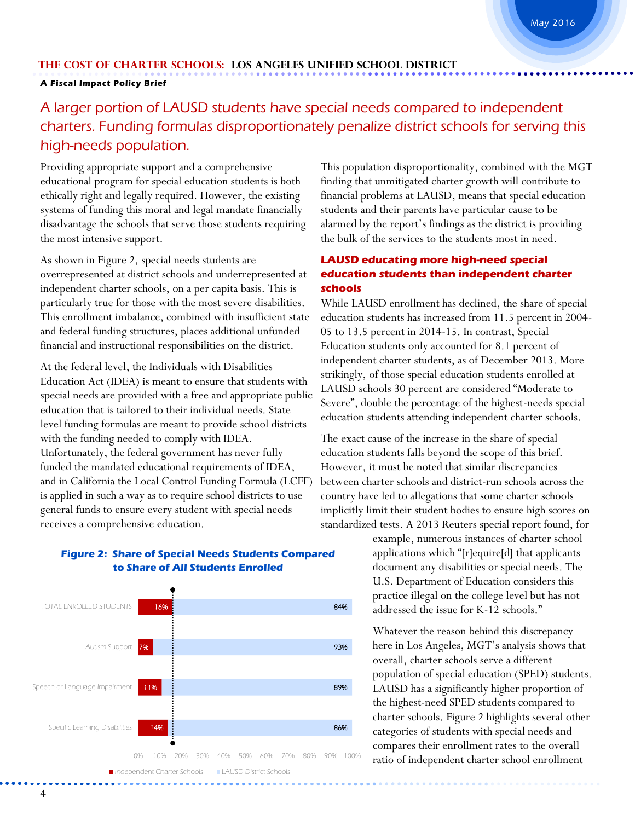### **A Fiscal Impact Policy Brief**

## A larger portion of LAUSD students have special needs compared to independent charters. Funding formulas disproportionately penalize district schools for serving this high-needs population.

Providing appropriate support and a comprehensive educational program for special education students is both ethically right and legally required. However, the existing systems of funding this moral and legal mandate financially disadvantage the schools that serve those students requiring the most intensive support.

As shown in Figure 2, special needs students are overrepresented at district schools and underrepresented at independent charter schools, on a per capita basis. This is particularly true for those with the most severe disabilities. This enrollment imbalance, combined with insufficient state and federal funding structures, places additional unfunded financial and instructional responsibilities on the district.

At the federal level, the Individuals with Disabilities Education Act (IDEA) is meant to ensure that students with special needs are provided with a free and appropriate public education that is tailored to their individual needs. State level funding formulas are meant to provide school districts with the funding needed to comply with IDEA. Unfortunately, the federal government has never fully funded the mandated educational requirements of IDEA, and in California the Local Control Funding Formula (LCFF) is applied in such a way as to require school districts to use general funds to ensure every student with special needs receives a comprehensive education.



### **Figure 2: Share of Special Needs Students Compared to Share of All Students Enrolled**

This population disproportionality, combined with the MGT finding that unmitigated charter growth will contribute to financial problems at LAUSD, means that special education students and their parents have particular cause to be alarmed by the report's findings as the district is providing the bulk of the services to the students most in need.

### **LAUSD educating more high-need special education students than independent charter schools**

While LAUSD enrollment has declined, the share of special education students has increased from 11.5 percent in 2004- 05 to 13.5 percent in 2014-15. In contrast, Special Education students only accounted for 8.1 percent of independent charter students, as of December 2013. More strikingly, of those special education students enrolled at LAUSD schools 30 percent are considered "Moderate to Severe", double the percentage of the highest-needs special education students attending independent charter schools.

The exact cause of the increase in the share of special education students falls beyond the scope of this brief. However, it must be noted that similar discrepancies between charter schools and district-run schools across the country have led to allegations that some charter schools implicitly limit their student bodies to ensure high scores on standardized tests. A 2013 Reuters special report found, for

> example, numerous instances of charter school applications which "[r]equire[d] that applicants document any disabilities or special needs. The U.S. Department of Education considers this practice illegal on the college level but has not addressed the issue for K-12 schools."

Whatever the reason behind this discrepancy here in Los Angeles, MGT's analysis shows that overall, charter schools serve a different population of special education (SPED) students. LAUSD has a significantly higher proportion of the highest-need SPED students compared to charter schools. Figure 2 highlights several other categories of students with special needs and compares their enrollment rates to the overall ratio of independent charter school enrollment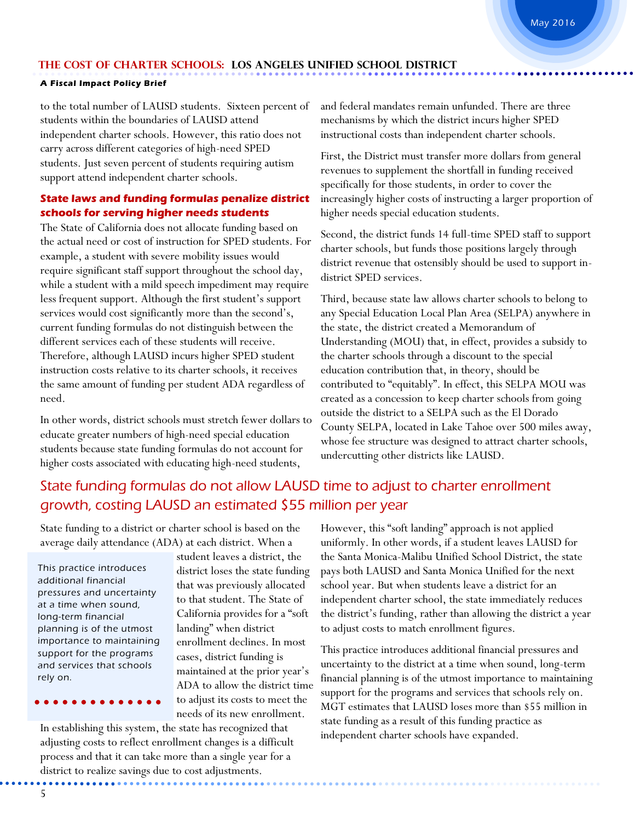### **A Fiscal Impact Policy Brief**

to the total number of LAUSD students. Sixteen percent of students within the boundaries of LAUSD attend independent charter schools. However, this ratio does not carry across different categories of high-need SPED students. Just seven percent of students requiring autism support attend independent charter schools.

### **State laws and funding formulas penalize district schools for serving higher needs students**

The State of California does not allocate funding based on the actual need or cost of instruction for SPED students. For example, a student with severe mobility issues would require significant staff support throughout the school day, while a student with a mild speech impediment may require less frequent support. Although the first student's support services would cost significantly more than the second's, current funding formulas do not distinguish between the different services each of these students will receive. Therefore, although LAUSD incurs higher SPED student instruction costs relative to its charter schools, it receives the same amount of funding per student ADA regardless of need.

In other words, district schools must stretch fewer dollars to educate greater numbers of high-need special education students because state funding formulas do not account for higher costs associated with educating high-need students,

and federal mandates remain unfunded. There are three mechanisms by which the district incurs higher SPED instructional costs than independent charter schools.

First, the District must transfer more dollars from general revenues to supplement the shortfall in funding received specifically for those students, in order to cover the increasingly higher costs of instructing a larger proportion of higher needs special education students.

Second, the district funds 14 full-time SPED staff to support charter schools, but funds those positions largely through district revenue that ostensibly should be used to support indistrict SPED services.

Third, because state law allows charter schools to belong to any Special Education Local Plan Area (SELPA) anywhere in the state, the district created a Memorandum of Understanding (MOU) that, in effect, provides a subsidy to the charter schools through a discount to the special education contribution that, in theory, should be contributed to "equitably". In effect, this SELPA MOU was created as a concession to keep charter schools from going outside the district to a SELPA such as the El Dorado County SELPA, located in Lake Tahoe over 500 miles away, whose fee structure was designed to attract charter schools, undercutting other districts like LAUSD.

### State funding formulas do not allow LAUSD time to adjust to charter enrollment growth, costing LAUSD an estimated \$55 million per year

State funding to a district or charter school is based on the average daily attendance (ADA) at each district. When a

This practice introduces additional financial pressures and uncertainty at a time when sound, long-term financial planning is of the utmost importance to maintaining support for the programs and services that schools rely on.

student leaves a district, the district loses the state funding that was previously allocated to that student. The State of California provides for a "soft landing" when district enrollment declines. In most cases, district funding is maintained at the prior year's ADA to allow the district time to adjust its costs to meet the needs of its new enrollment.

In establishing this system, the state has recognized that adjusting costs to reflect enrollment changes is a difficult process and that it can take more than a single year for a district to realize savings due to cost adjustments.

However, this "soft landing" approach is not applied uniformly. In other words, if a student leaves LAUSD for the Santa Monica-Malibu Unified School District, the state pays both LAUSD and Santa Monica Unified for the next school year. But when students leave a district for an independent charter school, the state immediately reduces the district's funding, rather than allowing the district a year to adjust costs to match enrollment figures.

This practice introduces additional financial pressures and uncertainty to the district at a time when sound, long-term financial planning is of the utmost importance to maintaining support for the programs and services that schools rely on. MGT estimates that LAUSD loses more than \$55 million in state funding as a result of this funding practice as independent charter schools have expanded.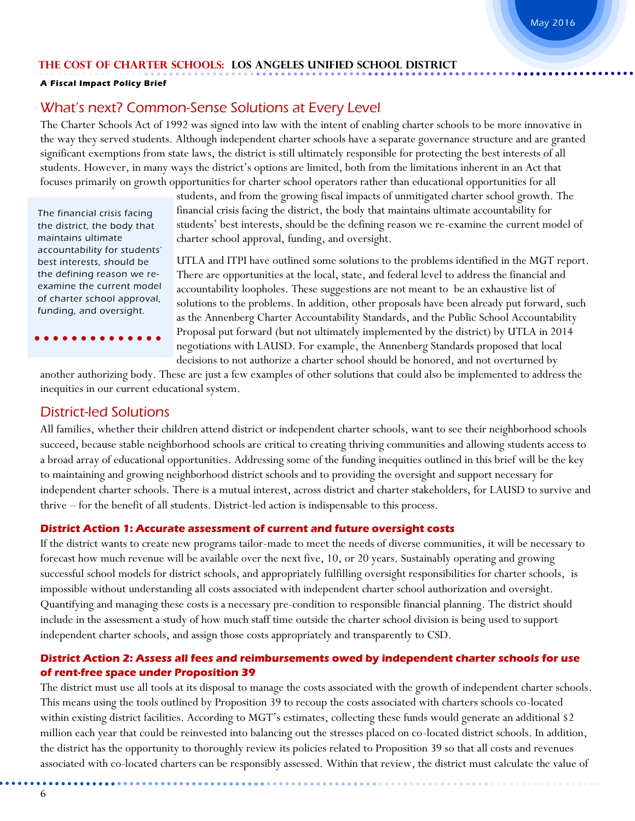### **A Fiscal Impact Policy Brief**

### What's next? Common-Sense Solutions at Every Level

The Charter Schools Act of 1992 was signed into law with the intent of enabling charter schools to be more innovative in the way they served students. Although independent charter schools have a separate governance structure and are granted significant exemptions from state laws, the district is still ultimately responsible for protecting the best interests of all students. However, in many ways the district's options are limited, both from the limitations inherent in an Act that focuses primarily on growth opportunities for charter school operators rather than educational opportunities for all

The financial crisis facing the district, the body that maintains ultimate accountability for students' best interests, should be the defining reason we reexamine the current model of charter school approval, funding, and oversight.

students, and from the growing fiscal impacts of unmitigated charter school growth. The financial crisis facing the district, the body that maintains ultimate accountability for students' best interests, should be the defining reason we re-examine the current model of charter school approval, funding, and oversight.

UTLA and ITPI have outlined some solutions to the problems identified in the MGT report. There are opportunities at the local, state, and federal level to address the financial and accountability loopholes. These suggestions are not meant to be an exhaustive list of solutions to the problems. In addition, other proposals have been already put forward, such as the Annenberg Charter Accountability Standards, and the Public School Accountability Proposal put forward (but not ultimately implemented by the district) by UTLA in 2014 negotiations with LAUSD. For example, the Annenberg Standards proposed that local decisions to not authorize a charter school should be honored, and not overturned by

another authorizing body. These are just a few examples of other solutions that could also be implemented to address the inequities in our current educational system.

### District-led Solutions

All families, whether their children attend district or independent charter schools, want to see their neighborhood schools succeed, because stable neighborhood schools are critical to creating thriving communities and allowing students access to a broad array of educational opportunities. Addressing some of the funding inequities outlined in this brief will be the key to maintaining and growing neighborhood district schools and to providing the oversight and support necessary for independent charter schools. There is a mutual interest, across district and charter stakeholders, for LAUSD to survive and thrive – for the benefit of all students. District-led action is indispensable to this process.

### **District Action 1: Accurate assessment of current and future oversight costs**

If the district wants to create new programs tailor-made to meet the needs of diverse communities, it will be necessary to forecast how much revenue will be available over the next five, 10, or 20 years. Sustainably operating and growing successful school models for district schools, and appropriately fulfilling oversight responsibilities for charter schools, is impossible without understanding all costs associated with independent charter school authorization and oversight. Quantifying and managing these costs is a necessary pre-condition to responsible financial planning. The district should include in the assessment a study of how much staff time outside the charter school division is being used to support independent charter schools, and assign those costs appropriately and transparently to CSD.

### **District Action 2: Assess all fees and reimbursements owed by independent charter schools for use of rent-free space under Proposition 39**

The district must use all tools at its disposal to manage the costs associated with the growth of independent charter schools. This means using the tools outlined by Proposition 39 to recoup the costs associated with charters schools co-located within existing district facilities. According to MGT's estimates, collecting these funds would generate an additional \$2 million each year that could be reinvested into balancing out the stresses placed on co-located district schools. In addition, the district has the opportunity to thoroughly review its policies related to Proposition 39 so that all costs and revenues associated with co-located charters can be responsibly assessed. Within that review, the district must calculate the value of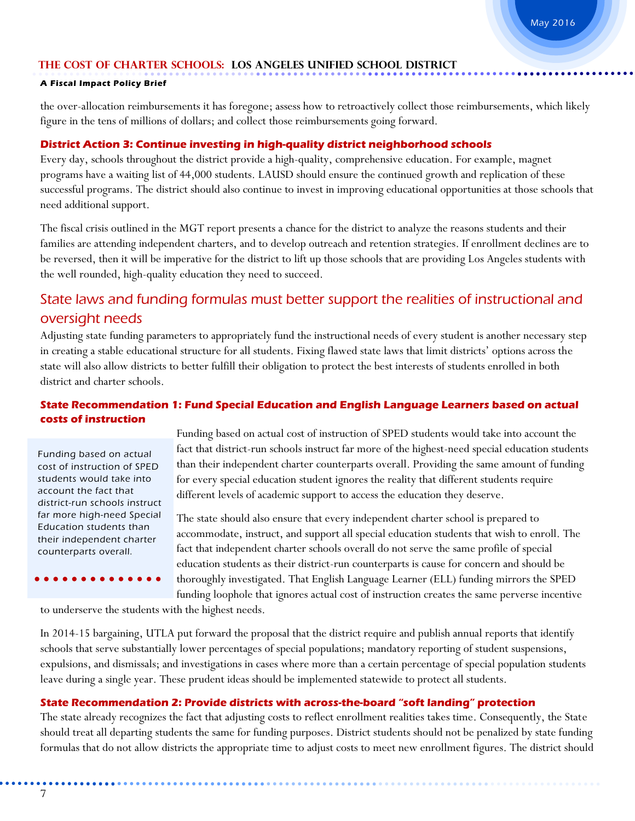### **A Fiscal Impact Policy Brief**

the over-allocation reimbursements it has foregone; assess how to retroactively collect those reimbursements, which likely figure in the tens of millions of dollars; and collect those reimbursements going forward.

### **District Action 3: Continue investing in high-quality district neighborhood schools**

Every day, schools throughout the district provide a high-quality, comprehensive education. For example, magnet programs have a waiting list of 44,000 students. LAUSD should ensure the continued growth and replication of these successful programs. The district should also continue to invest in improving educational opportunities at those schools that need additional support.

The fiscal crisis outlined in the MGT report presents a chance for the district to analyze the reasons students and their families are attending independent charters, and to develop outreach and retention strategies. If enrollment declines are to be reversed, then it will be imperative for the district to lift up those schools that are providing Los Angeles students with the well rounded, high-quality education they need to succeed.

### State laws and funding formulas must better support the realities of instructional and oversight needs

Adjusting state funding parameters to appropriately fund the instructional needs of every student is another necessary step in creating a stable educational structure for all students. Fixing flawed state laws that limit districts' options across the state will also allow districts to better fulfill their obligation to protect the best interests of students enrolled in both district and charter schools.

### **State Recommendation 1: Fund Special Education and English Language Learners based on actual costs of instruction**

Funding based on actual cost of instruction of SPED students would take into account the fact that district-run schools instruct far more high-need Special Education students than their independent charter counterparts overall.

Funding based on actual cost of instruction of SPED students would take into account the fact that district-run schools instruct far more of the highest-need special education students than their independent charter counterparts overall. Providing the same amount of funding for every special education student ignores the reality that different students require different levels of academic support to access the education they deserve.

The state should also ensure that every independent charter school is prepared to accommodate, instruct, and support all special education students that wish to enroll. The fact that independent charter schools overall do not serve the same profile of special education students as their district-run counterparts is cause for concern and should be thoroughly investigated. That English Language Learner (ELL) funding mirrors the SPED

funding loophole that ignores actual cost of instruction creates the same perverse incentive

to underserve the students with the highest needs.

In 2014-15 bargaining, UTLA put forward the proposal that the district require and publish annual reports that identify schools that serve substantially lower percentages of special populations; mandatory reporting of student suspensions, expulsions, and dismissals; and investigations in cases where more than a certain percentage of special population students leave during a single year. These prudent ideas should be implemented statewide to protect all students.

### **State Recommendation 2: Provide districts with across-the-board "soft landing" protection**

The state already recognizes the fact that adjusting costs to reflect enrollment realities takes time. Consequently, the State should treat all departing students the same for funding purposes. District students should not be penalized by state funding formulas that do not allow districts the appropriate time to adjust costs to meet new enrollment figures. The district should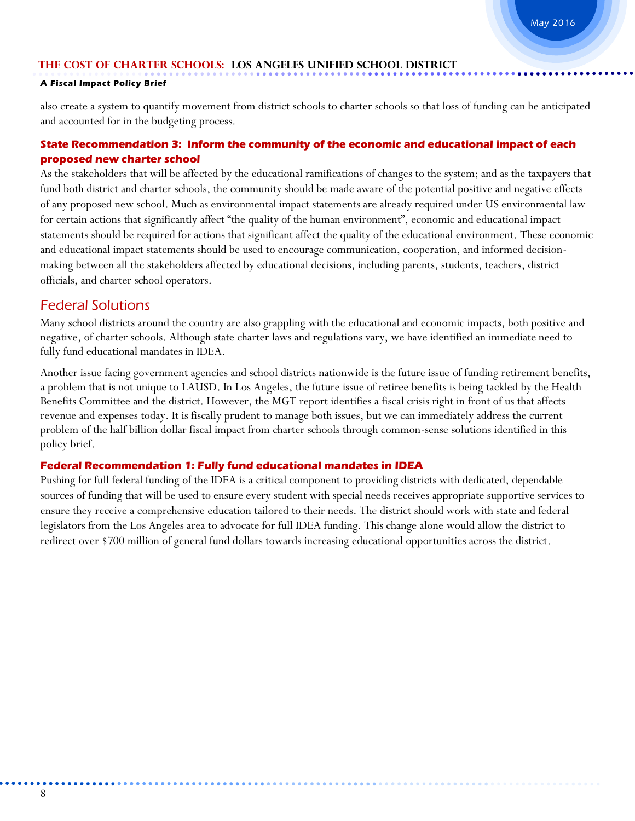### **A Fiscal Impact Policy Brief**

also create a system to quantify movement from district schools to charter schools so that loss of funding can be anticipated and accounted for in the budgeting process.

### **State Recommendation 3: Inform the community of the economic and educational impact of each proposed new charter school**

As the stakeholders that will be affected by the educational ramifications of changes to the system; and as the taxpayers that fund both district and charter schools, the community should be made aware of the potential positive and negative effects of any proposed new school. Much as environmental impact statements are already required under US environmental law for certain actions that significantly affect "the quality of the human environment", economic and educational impact statements should be required for actions that significant affect the quality of the educational environment. These economic and educational impact statements should be used to encourage communication, cooperation, and informed decisionmaking between all the stakeholders affected by educational decisions, including parents, students, teachers, district officials, and charter school operators.

### Federal Solutions

Many school districts around the country are also grappling with the educational and economic impacts, both positive and negative, of charter schools. Although state charter laws and regulations vary, we have identified an immediate need to fully fund educational mandates in IDEA.

Another issue facing government agencies and school districts nationwide is the future issue of funding retirement benefits, a problem that is not unique to LAUSD. In Los Angeles, the future issue of retiree benefits is being tackled by the Health Benefits Committee and the district. However, the MGT report identifies a fiscal crisis right in front of us that affects revenue and expenses today. It is fiscally prudent to manage both issues, but we can immediately address the current problem of the half billion dollar fiscal impact from charter schools through common-sense solutions identified in this policy brief.

### **Federal Recommendation 1: Fully fund educational mandates in IDEA**

Pushing for full federal funding of the IDEA is a critical component to providing districts with dedicated, dependable sources of funding that will be used to ensure every student with special needs receives appropriate supportive services to ensure they receive a comprehensive education tailored to their needs. The district should work with state and federal legislators from the Los Angeles area to advocate for full IDEA funding. This change alone would allow the district to redirect over \$700 million of general fund dollars towards increasing educational opportunities across the district.